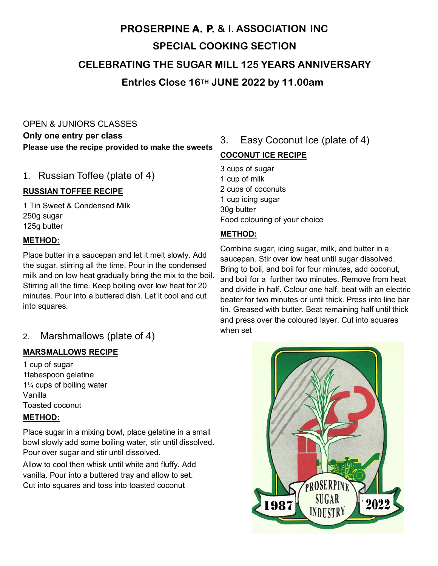# **A. P. & I. ASSOCIATION INC SPECIAL COOKING SECTION CELEBRATING THE SUGAR MILL 125 YEARS ANNIVERSARY Entries Close 16TH JUNE 2022 by 11.00am**

### OPEN & JUNIORS CLASSES

**Only one entry per class Please use the recipe provided to make the sweets**

#### 1. Russian Toffee (plate of 4)

#### **RUSSIAN TOFFEE RECIPE**

1 Tin Sweet & Condensed Milk 250g sugar 125g butter

#### **METHOD:**

Place butter in a saucepan and let it melt slowly. Add the sugar, stirring all the time. Pour in the condensed milk and on low heat gradually bring the mix to the boil. Stirring all the time. Keep boiling over low heat for 20 minutes. Pour into a buttered dish. Let it cool and cut into squares.

### 2. Marshmallows (plate of 4)

#### **MARSMALLOWS RECIPE**

1 cup of sugar 1tabespoon gelatine 1¼ cups of boiling water Vanilla Toasted coconut

#### **METHOD:**

Place sugar in a mixing bowl, place gelatine in a small bowl slowly add some boiling water, stir until dissolved. Pour over sugar and stir until dissolved.

Allow to cool then whisk until white and fluffy. Add vanilla. Pour into a buttered tray and allow to set. Cut into squares and toss into toasted coconut

### 3. Easy Coconut Ice (plate of 4)

#### **COCONUT ICE RECIPE**

3 cups of sugar 1 cup of milk 2 cups of coconuts 1 cup icing sugar 30g butter Food colouring of your choice

#### **METHOD:**

Combine sugar, icing sugar, milk, and butter in a saucepan. Stir over low heat until sugar dissolved. Bring to boil, and boil for four minutes, add coconut, and boil for a further two minutes. Remove from heat and divide in half. Colour one half, beat with an electric beater for two minutes or until thick. Press into line bar tin. Greased with butter. Beat remaining half until thick and press over the coloured layer. Cut into squares when set